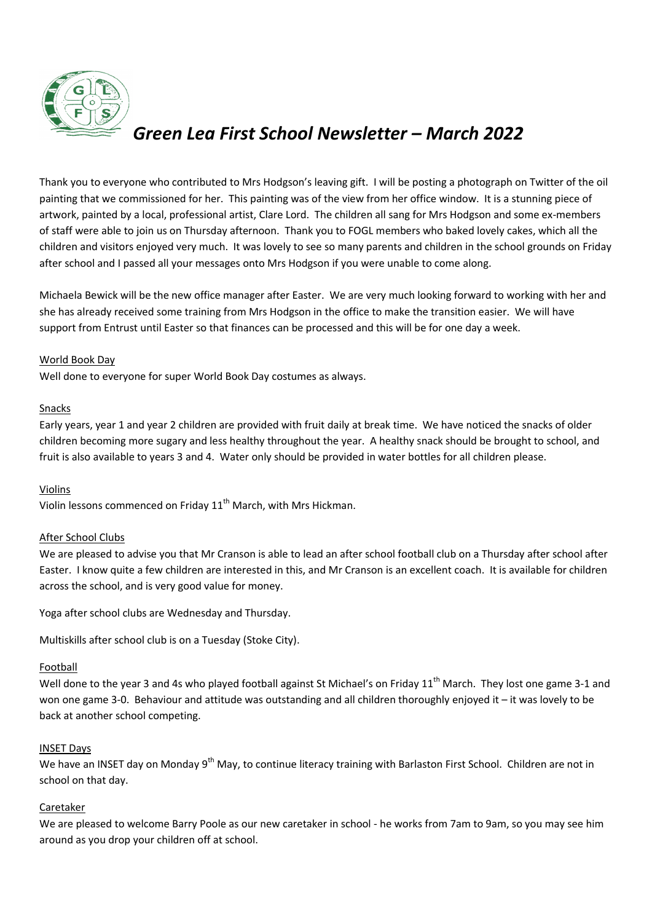

# *Green Lea First School Newsletter – March 2022*

Thank you to everyone who contributed to Mrs Hodgson's leaving gift. I will be posting a photograph on Twitter of the oil painting that we commissioned for her. This painting was of the view from her office window. It is a stunning piece of artwork, painted by a local, professional artist, Clare Lord. The children all sang for Mrs Hodgson and some ex-members of staff were able to join us on Thursday afternoon. Thank you to FOGL members who baked lovely cakes, which all the children and visitors enjoyed very much. It was lovely to see so many parents and children in the school grounds on Friday after school and I passed all your messages onto Mrs Hodgson if you were unable to come along.

Michaela Bewick will be the new office manager after Easter. We are very much looking forward to working with her and she has already received some training from Mrs Hodgson in the office to make the transition easier. We will have support from Entrust until Easter so that finances can be processed and this will be for one day a week.

# World Book Day

Well done to everyone for super World Book Day costumes as always.

## Snacks

Early years, year 1 and year 2 children are provided with fruit daily at break time. We have noticed the snacks of older children becoming more sugary and less healthy throughout the year. A healthy snack should be brought to school, and fruit is also available to years 3 and 4. Water only should be provided in water bottles for all children please.

# Violins

Violin lessons commenced on Friday 11<sup>th</sup> March, with Mrs Hickman.

# After School Clubs

We are pleased to advise you that Mr Cranson is able to lead an after school football club on a Thursday after school after Easter. I know quite a few children are interested in this, and Mr Cranson is an excellent coach. It is available for children across the school, and is very good value for money.

Yoga after school clubs are Wednesday and Thursday.

Multiskills after school club is on a Tuesday (Stoke City).

# Football

Well done to the year 3 and 4s who played football against St Michael's on Friday 11<sup>th</sup> March. They lost one game 3-1 and won one game 3-0. Behaviour and attitude was outstanding and all children thoroughly enjoyed it – it was lovely to be back at another school competing.

# INSET Days

We have an INSET day on Monday 9<sup>th</sup> May, to continue literacy training with Barlaston First School. Children are not in school on that day.

# Caretaker

We are pleased to welcome Barry Poole as our new caretaker in school - he works from 7am to 9am, so you may see him around as you drop your children off at school.